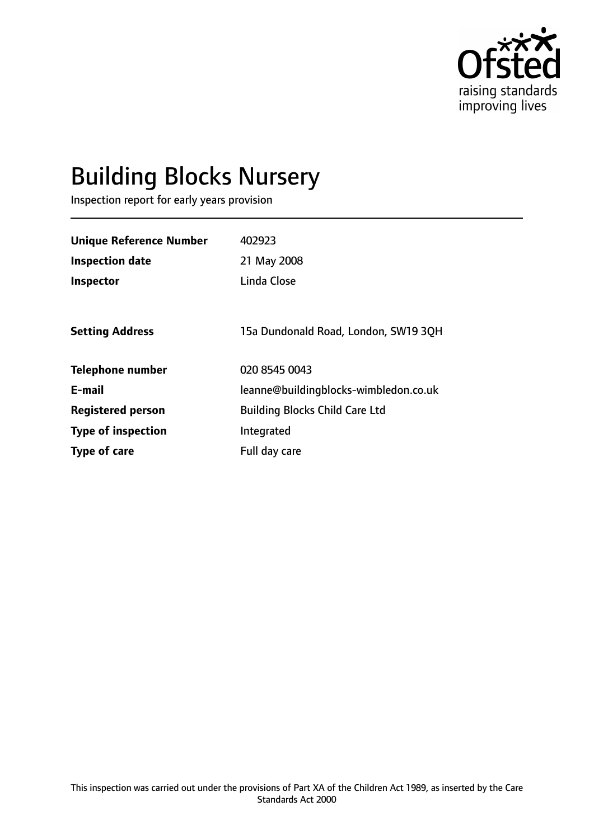

# Building Blocks Nursery

Inspection report for early years provision

| <b>Unique Reference Number</b> | 402923                                |
|--------------------------------|---------------------------------------|
| <b>Inspection date</b>         | 21 May 2008                           |
| Inspector                      | Linda Close                           |
|                                |                                       |
| <b>Setting Address</b>         | 15a Dundonald Road, London, SW19 3QH  |
| <b>Telephone number</b>        | 020 8545 0043                         |
| E-mail                         | leanne@buildingblocks-wimbledon.co.uk |
| <b>Registered person</b>       | <b>Building Blocks Child Care Ltd</b> |
| <b>Type of inspection</b>      | Integrated                            |
| Type of care                   | Full day care                         |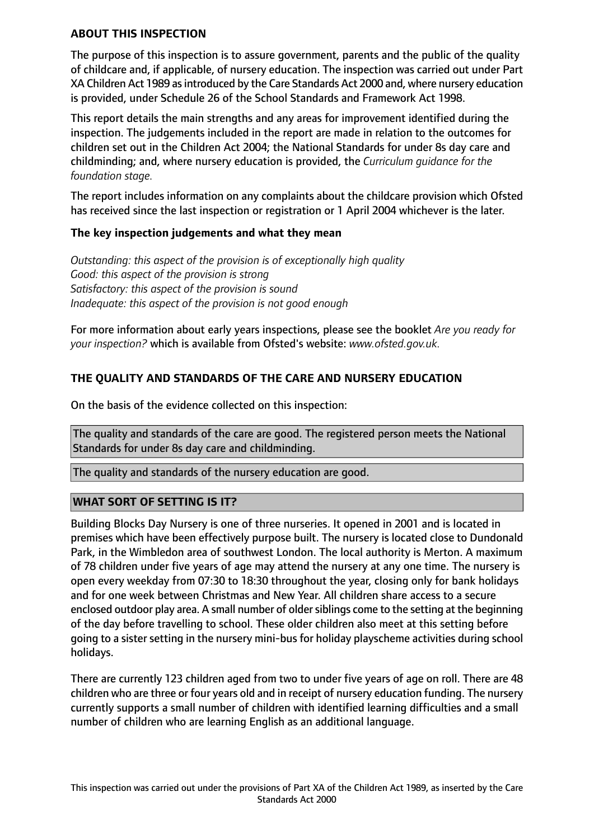#### **ABOUT THIS INSPECTION**

The purpose of this inspection is to assure government, parents and the public of the quality of childcare and, if applicable, of nursery education. The inspection was carried out under Part XA Children Act 1989 as introduced by the Care Standards Act 2000 and, where nursery education is provided, under Schedule 26 of the School Standards and Framework Act 1998.

This report details the main strengths and any areas for improvement identified during the inspection. The judgements included in the report are made in relation to the outcomes for children set out in the Children Act 2004; the National Standards for under 8s day care and childminding; and, where nursery education is provided, the *Curriculum guidance for the foundation stage.*

The report includes information on any complaints about the childcare provision which Ofsted has received since the last inspection or registration or 1 April 2004 whichever is the later.

### **The key inspection judgements and what they mean**

*Outstanding: this aspect of the provision is of exceptionally high quality Good: this aspect of the provision is strong Satisfactory: this aspect of the provision is sound Inadequate: this aspect of the provision is not good enough*

For more information about early years inspections, please see the booklet *Are you ready for your inspection?* which is available from Ofsted's website: *www.ofsted.gov.uk.*

## **THE QUALITY AND STANDARDS OF THE CARE AND NURSERY EDUCATION**

On the basis of the evidence collected on this inspection:

The quality and standards of the care are good. The registered person meets the National Standards for under 8s day care and childminding.

The quality and standards of the nursery education are good.

### **WHAT SORT OF SETTING IS IT?**

Building Blocks Day Nursery is one of three nurseries. It opened in 2001 and is located in premises which have been effectively purpose built. The nursery is located close to Dundonald Park, in the Wimbledon area of southwest London. The local authority is Merton. A maximum of 78 children under five years of age may attend the nursery at any one time. The nursery is open every weekday from 07:30 to 18:30 throughout the year, closing only for bank holidays and for one week between Christmas and New Year. All children share access to a secure enclosed outdoor play area. A small number of older siblings come to the setting at the beginning of the day before travelling to school. These older children also meet at this setting before going to a sister setting in the nursery mini-bus for holiday playscheme activities during school holidays.

There are currently 123 children aged from two to under five years of age on roll. There are 48 children who are three or four years old and in receipt of nursery education funding. The nursery currently supports a small number of children with identified learning difficulties and a small number of children who are learning English as an additional language.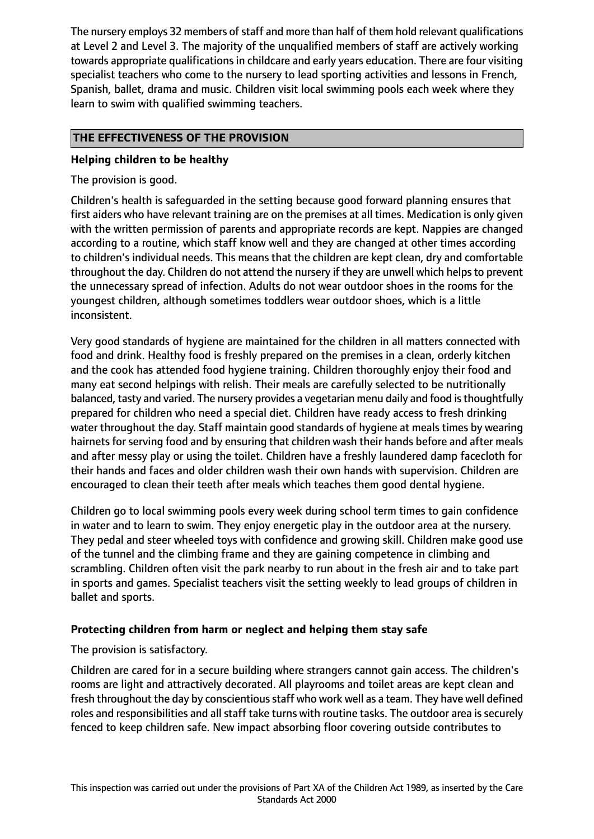The nursery employs 32 members of staff and more than half of them hold relevant qualifications at Level 2 and Level 3. The majority of the unqualified members of staff are actively working towards appropriate qualifications in childcare and early years education. There are four visiting specialist teachers who come to the nursery to lead sporting activities and lessons in French, Spanish, ballet, drama and music. Children visit local swimming pools each week where they learn to swim with qualified swimming teachers.

## **THE EFFECTIVENESS OF THE PROVISION**

### **Helping children to be healthy**

The provision is good.

Children's health is safeguarded in the setting because good forward planning ensures that first aiders who have relevant training are on the premises at all times. Medication is only given with the written permission of parents and appropriate records are kept. Nappies are changed according to a routine, which staff know well and they are changed at other times according to children's individual needs. This means that the children are kept clean, dry and comfortable throughout the day. Children do not attend the nursery if they are unwell which helps to prevent the unnecessary spread of infection. Adults do not wear outdoor shoes in the rooms for the youngest children, although sometimes toddlers wear outdoor shoes, which is a little inconsistent.

Very good standards of hygiene are maintained for the children in all matters connected with food and drink. Healthy food is freshly prepared on the premises in a clean, orderly kitchen and the cook has attended food hygiene training. Children thoroughly enjoy their food and many eat second helpings with relish. Their meals are carefully selected to be nutritionally balanced, tasty and varied. The nursery provides a vegetarian menu daily and food is thoughtfully prepared for children who need a special diet. Children have ready access to fresh drinking water throughout the day. Staff maintain good standards of hygiene at meals times by wearing hairnets for serving food and by ensuring that children wash their hands before and after meals and after messy play or using the toilet. Children have a freshly laundered damp facecloth for their hands and faces and older children wash their own hands with supervision. Children are encouraged to clean their teeth after meals which teaches them good dental hygiene.

Children go to local swimming pools every week during school term times to gain confidence in water and to learn to swim. They enjoy energetic play in the outdoor area at the nursery. They pedal and steer wheeled toys with confidence and growing skill. Children make good use of the tunnel and the climbing frame and they are gaining competence in climbing and scrambling. Children often visit the park nearby to run about in the fresh air and to take part in sports and games. Specialist teachers visit the setting weekly to lead groups of children in ballet and sports.

### **Protecting children from harm or neglect and helping them stay safe**

The provision is satisfactory.

Children are cared for in a secure building where strangers cannot gain access. The children's rooms are light and attractively decorated. All playrooms and toilet areas are kept clean and fresh throughout the day by conscientious staff who work well as a team. They have well defined roles and responsibilities and all staff take turns with routine tasks. The outdoor area is securely fenced to keep children safe. New impact absorbing floor covering outside contributes to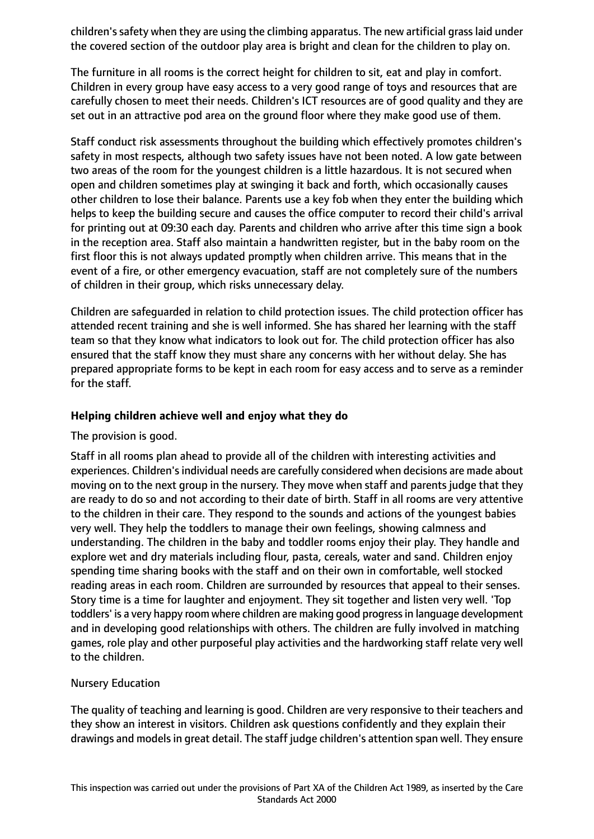children'ssafety when they are using the climbing apparatus. The new artificial grasslaid under the covered section of the outdoor play area is bright and clean for the children to play on.

The furniture in all rooms is the correct height for children to sit, eat and play in comfort. Children in every group have easy access to a very good range of toys and resources that are carefully chosen to meet their needs. Children's ICT resources are of good quality and they are set out in an attractive pod area on the ground floor where they make good use of them.

Staff conduct risk assessments throughout the building which effectively promotes children's safety in most respects, although two safety issues have not been noted. A low gate between two areas of the room for the youngest children is a little hazardous. It is not secured when open and children sometimes play at swinging it back and forth, which occasionally causes other children to lose their balance. Parents use a key fob when they enter the building which helps to keep the building secure and causes the office computer to record their child's arrival for printing out at 09:30 each day. Parents and children who arrive after this time sign a book in the reception area. Staff also maintain a handwritten register, but in the baby room on the first floor this is not always updated promptly when children arrive. This means that in the event of a fire, or other emergency evacuation, staff are not completely sure of the numbers of children in their group, which risks unnecessary delay.

Children are safeguarded in relation to child protection issues. The child protection officer has attended recent training and she is well informed. She has shared her learning with the staff team so that they know what indicators to look out for. The child protection officer has also ensured that the staff know they must share any concerns with her without delay. She has prepared appropriate forms to be kept in each room for easy access and to serve as a reminder for the staff.

#### **Helping children achieve well and enjoy what they do**

### The provision is good.

Staff in all rooms plan ahead to provide all of the children with interesting activities and experiences. Children's individual needs are carefully considered when decisions are made about moving on to the next group in the nursery. They move when staff and parents judge that they are ready to do so and not according to their date of birth. Staff in all rooms are very attentive to the children in their care. They respond to the sounds and actions of the youngest babies very well. They help the toddlers to manage their own feelings, showing calmness and understanding. The children in the baby and toddler rooms enjoy their play. They handle and explore wet and dry materials including flour, pasta, cereals, water and sand. Children enjoy spending time sharing books with the staff and on their own in comfortable, well stocked reading areas in each room. Children are surrounded by resources that appeal to their senses. Story time is a time for laughter and enjoyment. They sit together and listen very well. 'Top toddlers' is a very happy room where children are making good progressin language development and in developing good relationships with others. The children are fully involved in matching games, role play and other purposeful play activities and the hardworking staff relate very well to the children.

### Nursery Education

The quality of teaching and learning is good. Children are very responsive to their teachers and they show an interest in visitors. Children ask questions confidently and they explain their drawings and models in great detail. The staff judge children's attention span well. They ensure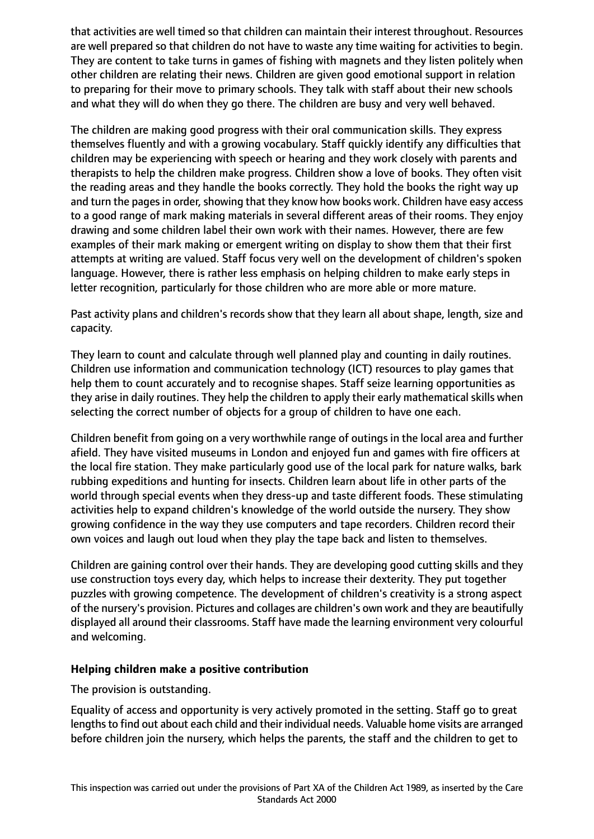that activities are well timed so that children can maintain their interest throughout. Resources are well prepared so that children do not have to waste any time waiting for activities to begin. They are content to take turns in games of fishing with magnets and they listen politely when other children are relating their news. Children are given good emotional support in relation to preparing for their move to primary schools. They talk with staff about their new schools and what they will do when they go there. The children are busy and very well behaved.

The children are making good progress with their oral communication skills. They express themselves fluently and with a growing vocabulary. Staff quickly identify any difficulties that children may be experiencing with speech or hearing and they work closely with parents and therapists to help the children make progress. Children show a love of books. They often visit the reading areas and they handle the books correctly. They hold the books the right way up and turn the pages in order, showing that they know how books work. Children have easy access to a good range of mark making materials in several different areas of their rooms. They enjoy drawing and some children label their own work with their names. However, there are few examples of their mark making or emergent writing on display to show them that their first attempts at writing are valued. Staff focus very well on the development of children's spoken language. However, there is rather less emphasis on helping children to make early steps in letter recognition, particularly for those children who are more able or more mature.

Past activity plans and children's records show that they learn all about shape, length, size and capacity.

They learn to count and calculate through well planned play and counting in daily routines. Children use information and communication technology (ICT) resources to play games that help them to count accurately and to recognise shapes. Staff seize learning opportunities as they arise in daily routines. They help the children to apply their early mathematical skills when selecting the correct number of objects for a group of children to have one each.

Children benefit from going on a very worthwhile range of outings in the local area and further afield. They have visited museums in London and enjoyed fun and games with fire officers at the local fire station. They make particularly good use of the local park for nature walks, bark rubbing expeditions and hunting for insects. Children learn about life in other parts of the world through special events when they dress-up and taste different foods. These stimulating activities help to expand children's knowledge of the world outside the nursery. They show growing confidence in the way they use computers and tape recorders. Children record their own voices and laugh out loud when they play the tape back and listen to themselves.

Children are gaining control over their hands. They are developing good cutting skills and they use construction toys every day, which helps to increase their dexterity. They put together puzzles with growing competence. The development of children's creativity is a strong aspect of the nursery's provision. Pictures and collages are children's own work and they are beautifully displayed all around their classrooms. Staff have made the learning environment very colourful and welcoming.

### **Helping children make a positive contribution**

The provision is outstanding.

Equality of access and opportunity is very actively promoted in the setting. Staff go to great lengths to find out about each child and their individual needs. Valuable home visits are arranged before children join the nursery, which helps the parents, the staff and the children to get to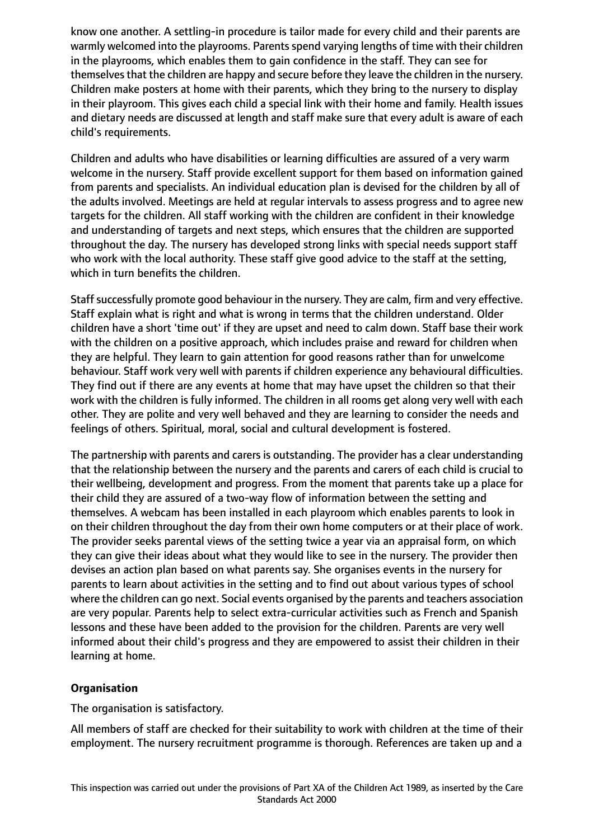know one another. A settling-in procedure is tailor made for every child and their parents are warmly welcomed into the playrooms. Parents spend varying lengths of time with their children in the playrooms, which enables them to gain confidence in the staff. They can see for themselves that the children are happy and secure before they leave the children in the nursery. Children make posters at home with their parents, which they bring to the nursery to display in their playroom. This gives each child a special link with their home and family. Health issues and dietary needs are discussed at length and staff make sure that every adult is aware of each child's requirements.

Children and adults who have disabilities or learning difficulties are assured of a very warm welcome in the nursery. Staff provide excellent support for them based on information gained from parents and specialists. An individual education plan is devised for the children by all of the adults involved. Meetings are held at regular intervals to assess progress and to agree new targets for the children. All staff working with the children are confident in their knowledge and understanding of targets and next steps, which ensures that the children are supported throughout the day. The nursery has developed strong links with special needs support staff who work with the local authority. These staff give good advice to the staff at the setting, which in turn benefits the children.

Staff successfully promote good behaviour in the nursery. They are calm, firm and very effective. Staff explain what is right and what is wrong in terms that the children understand. Older children have a short 'time out' if they are upset and need to calm down. Staff base their work with the children on a positive approach, which includes praise and reward for children when they are helpful. They learn to gain attention for good reasons rather than for unwelcome behaviour. Staff work very well with parents if children experience any behavioural difficulties. They find out if there are any events at home that may have upset the children so that their work with the children is fully informed. The children in all rooms get along very well with each other. They are polite and very well behaved and they are learning to consider the needs and feelings of others. Spiritual, moral, social and cultural development is fostered.

The partnership with parents and carers is outstanding. The provider has a clear understanding that the relationship between the nursery and the parents and carers of each child is crucial to their wellbeing, development and progress. From the moment that parents take up a place for their child they are assured of a two-way flow of information between the setting and themselves. A webcam has been installed in each playroom which enables parents to look in on their children throughout the day from their own home computers or at their place of work. The provider seeks parental views of the setting twice a year via an appraisal form, on which they can give their ideas about what they would like to see in the nursery. The provider then devises an action plan based on what parents say. She organises events in the nursery for parents to learn about activities in the setting and to find out about various types of school where the children can go next. Social events organised by the parents and teachers association are very popular. Parents help to select extra-curricular activities such as French and Spanish lessons and these have been added to the provision for the children. Parents are very well informed about their child's progress and they are empowered to assist their children in their learning at home.

## **Organisation**

The organisation is satisfactory.

All members of staff are checked for their suitability to work with children at the time of their employment. The nursery recruitment programme is thorough. References are taken up and a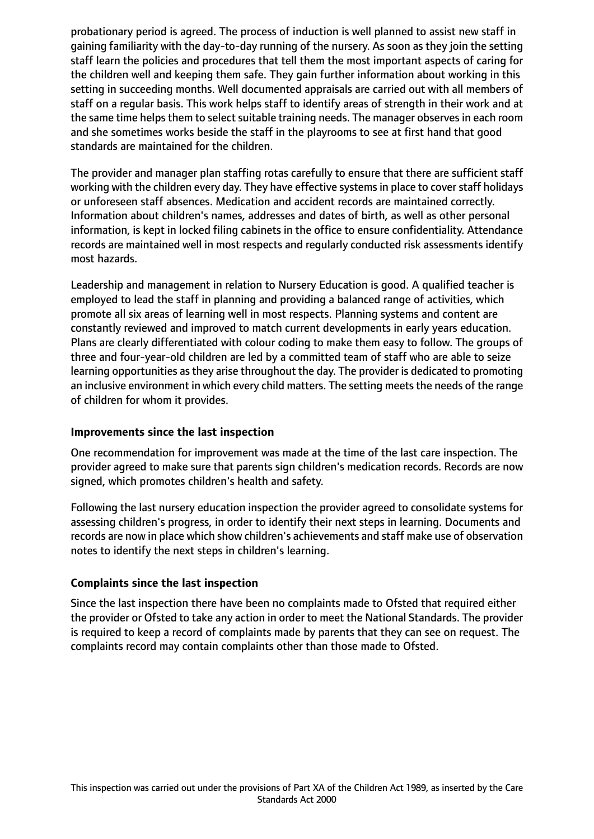probationary period is agreed. The process of induction is well planned to assist new staff in gaining familiarity with the day-to-day running of the nursery. As soon as they join the setting staff learn the policies and procedures that tell them the most important aspects of caring for the children well and keeping them safe. They gain further information about working in this setting in succeeding months. Well documented appraisals are carried out with all members of staff on a regular basis. This work helps staff to identify areas of strength in their work and at the same time helps them to select suitable training needs. The manager observes in each room and she sometimes works beside the staff in the playrooms to see at first hand that good standards are maintained for the children.

The provider and manager plan staffing rotas carefully to ensure that there are sufficient staff working with the children every day. They have effective systems in place to cover staff holidays or unforeseen staff absences. Medication and accident records are maintained correctly. Information about children's names, addresses and dates of birth, as well as other personal information, is kept in locked filing cabinets in the office to ensure confidentiality. Attendance records are maintained well in most respects and regularly conducted risk assessments identify most hazards.

Leadership and management in relation to Nursery Education is good. A qualified teacher is employed to lead the staff in planning and providing a balanced range of activities, which promote all six areas of learning well in most respects. Planning systems and content are constantly reviewed and improved to match current developments in early years education. Plans are clearly differentiated with colour coding to make them easy to follow. The groups of three and four-year-old children are led by a committed team of staff who are able to seize learning opportunities as they arise throughout the day. The provider is dedicated to promoting an inclusive environment in which every child matters. The setting meets the needs of the range of children for whom it provides.

### **Improvements since the last inspection**

One recommendation for improvement was made at the time of the last care inspection. The provider agreed to make sure that parents sign children's medication records. Records are now signed, which promotes children's health and safety.

Following the last nursery education inspection the provider agreed to consolidate systems for assessing children's progress, in order to identify their next steps in learning. Documents and records are now in place which show children's achievements and staff make use of observation notes to identify the next steps in children's learning.

### **Complaints since the last inspection**

Since the last inspection there have been no complaints made to Ofsted that required either the provider or Ofsted to take any action in order to meet the National Standards. The provider is required to keep a record of complaints made by parents that they can see on request. The complaints record may contain complaints other than those made to Ofsted.